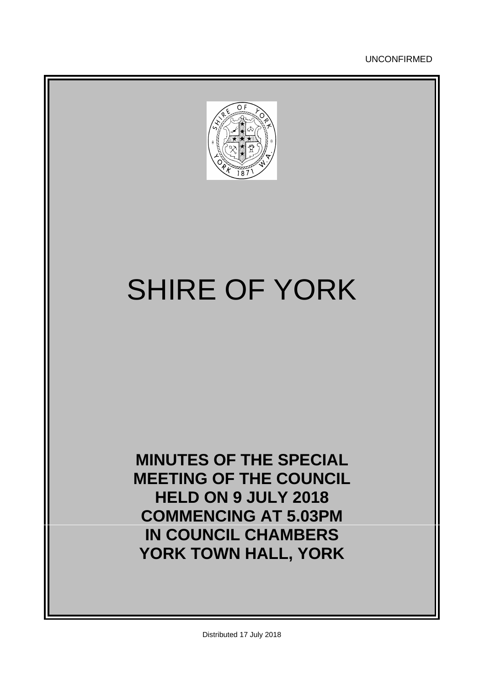UNCONFIRMED



# SHIRE OF YORK

**MINUTES OF THE SPECIAL MEETING OF THE COUNCIL HELD ON 9 JULY 2018 COMMENCING AT 5.03PM IN COUNCIL CHAMBERS YORK TOWN HALL, YORK**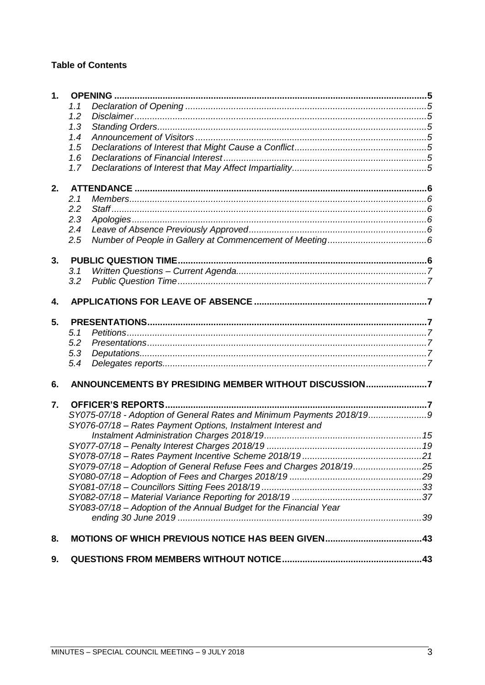# **Table of Contents**

| 1. |     |                                                                                                                                       |  |
|----|-----|---------------------------------------------------------------------------------------------------------------------------------------|--|
|    | 1.1 |                                                                                                                                       |  |
|    | 1.2 |                                                                                                                                       |  |
|    | 1.3 |                                                                                                                                       |  |
|    | 1.4 |                                                                                                                                       |  |
|    | 1.5 |                                                                                                                                       |  |
|    | 1.6 |                                                                                                                                       |  |
|    | 1.7 |                                                                                                                                       |  |
| 2. |     |                                                                                                                                       |  |
|    | 2.1 |                                                                                                                                       |  |
|    | 2.2 |                                                                                                                                       |  |
|    | 2.3 |                                                                                                                                       |  |
|    | 2.4 |                                                                                                                                       |  |
|    | 2.5 |                                                                                                                                       |  |
| 3. |     |                                                                                                                                       |  |
|    | 3.1 |                                                                                                                                       |  |
|    | 3.2 |                                                                                                                                       |  |
| 4. |     |                                                                                                                                       |  |
| 5. |     |                                                                                                                                       |  |
|    | 5.1 |                                                                                                                                       |  |
|    | 5.2 |                                                                                                                                       |  |
|    | 5.3 |                                                                                                                                       |  |
|    | 5.4 |                                                                                                                                       |  |
| 6. |     | ANNOUNCEMENTS BY PRESIDING MEMBER WITHOUT DISCUSSION7                                                                                 |  |
| 7. |     |                                                                                                                                       |  |
|    |     | SY075-07/18 - Adoption of General Rates and Minimum Payments 2018/199<br>SY076-07/18 - Rates Payment Options, Instalment Interest and |  |
|    |     |                                                                                                                                       |  |
|    |     |                                                                                                                                       |  |
|    |     |                                                                                                                                       |  |
|    |     | SY079-07/18 - Adoption of General Refuse Fees and Charges 2018/1925                                                                   |  |
|    |     |                                                                                                                                       |  |
|    |     |                                                                                                                                       |  |
|    |     |                                                                                                                                       |  |
|    |     | SY083-07/18 - Adoption of the Annual Budget for the Financial Year                                                                    |  |
|    |     |                                                                                                                                       |  |
| 8. |     |                                                                                                                                       |  |
| 9. |     |                                                                                                                                       |  |
|    |     |                                                                                                                                       |  |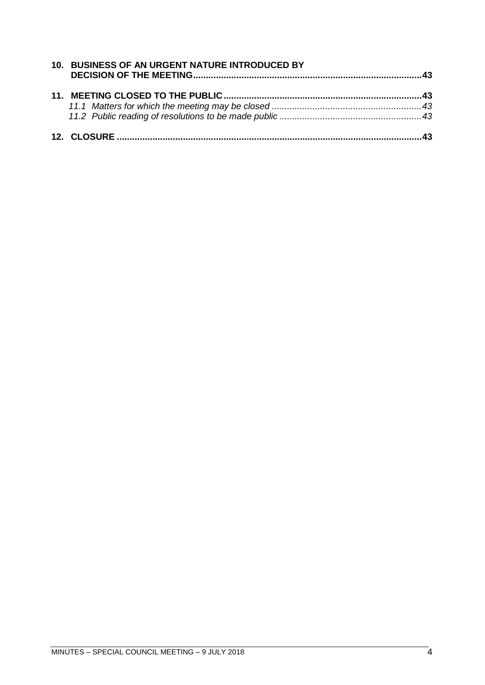| 10. BUSINESS OF AN URGENT NATURE INTRODUCED BY |  |
|------------------------------------------------|--|
|                                                |  |
|                                                |  |
|                                                |  |
|                                                |  |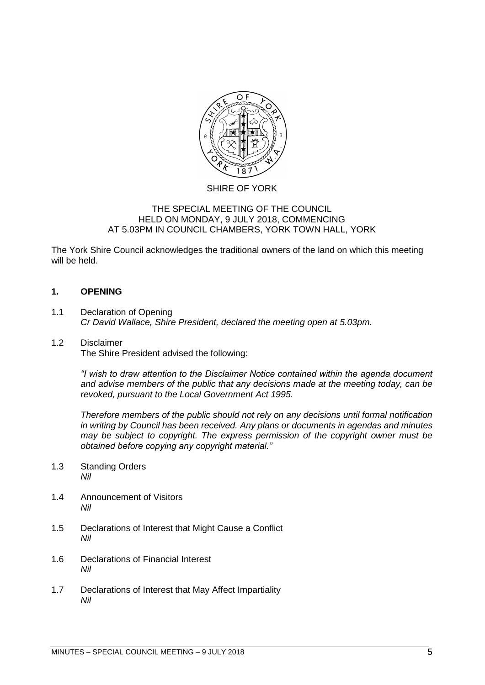

# SHIRE OF YORK

#### THE SPECIAL MEETING OF THE COUNCIL HELD ON MONDAY, 9 JULY 2018, COMMENCING AT 5.03PM IN COUNCIL CHAMBERS, YORK TOWN HALL, YORK

The York Shire Council acknowledges the traditional owners of the land on which this meeting will be held.

## <span id="page-4-0"></span>**1. OPENING**

<span id="page-4-1"></span>1.1 Declaration of Opening *Cr David Wallace, Shire President, declared the meeting open at 5.03pm.*

# <span id="page-4-2"></span>1.2 Disclaimer

The Shire President advised the following:

*"I wish to draw attention to the Disclaimer Notice contained within the agenda document and advise members of the public that any decisions made at the meeting today, can be revoked, pursuant to the Local Government Act 1995.* 

*Therefore members of the public should not rely on any decisions until formal notification in writing by Council has been received. Any plans or documents in agendas and minutes may be subject to copyright. The express permission of the copyright owner must be obtained before copying any copyright material."*

- <span id="page-4-3"></span>1.3 Standing Orders *Nil*
- <span id="page-4-4"></span>1.4 Announcement of Visitors *Nil*
- <span id="page-4-5"></span>1.5 Declarations of Interest that Might Cause a Conflict *Nil*
- <span id="page-4-6"></span>1.6 Declarations of Financial Interest *Nil*
- <span id="page-4-7"></span>1.7 Declarations of Interest that May Affect Impartiality *Nil*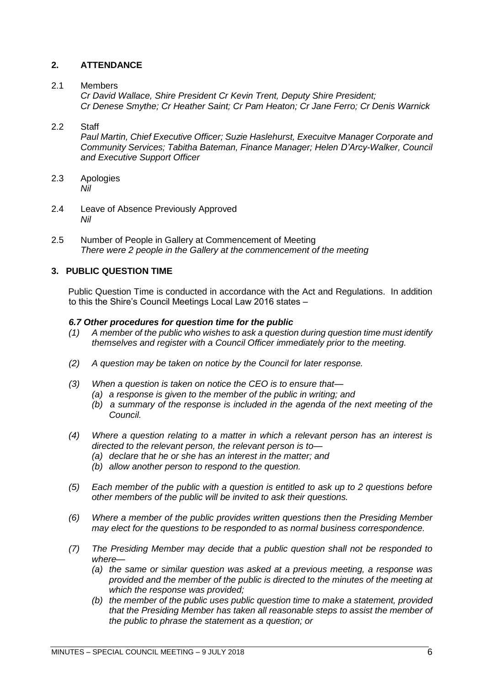# <span id="page-5-0"></span>**2. ATTENDANCE**

## <span id="page-5-1"></span>2.1 Members

*Cr David Wallace, Shire President Cr Kevin Trent, Deputy Shire President; Cr Denese Smythe; Cr Heather Saint; Cr Pam Heaton; Cr Jane Ferro; Cr Denis Warnick*

# <span id="page-5-2"></span>2.2 Staff

*Paul Martin, Chief Executive Officer; Suzie Haslehurst, Execuitve Manager Corporate and Community Services; Tabitha Bateman, Finance Manager; Helen D'Arcy-Walker, Council and Executive Support Officer*

- <span id="page-5-3"></span>2.3 Apologies *Nil*
- <span id="page-5-4"></span>2.4 Leave of Absence Previously Approved *Nil*
- <span id="page-5-5"></span>2.5 Number of People in Gallery at Commencement of Meeting *There were 2 people in the Gallery at the commencement of the meeting*

# <span id="page-5-6"></span>**3. PUBLIC QUESTION TIME**

Public Question Time is conducted in accordance with the Act and Regulations. In addition to this the Shire's Council Meetings Local Law 2016 states –

#### *6.7 Other procedures for question time for the public*

- *(1) A member of the public who wishes to ask a question during question time must identify themselves and register with a Council Officer immediately prior to the meeting.*
- *(2) A question may be taken on notice by the Council for later response.*
- *(3) When a question is taken on notice the CEO is to ensure that— (a) a response is given to the member of the public in writing; and* 
	- *(b) a summary of the response is included in the agenda of the next meeting of the Council.*
- *(4) Where a question relating to a matter in which a relevant person has an interest is directed to the relevant person, the relevant person is to—*
	- *(a) declare that he or she has an interest in the matter; and*
	- *(b) allow another person to respond to the question.*
- *(5) Each member of the public with a question is entitled to ask up to 2 questions before other members of the public will be invited to ask their questions.*
- *(6) Where a member of the public provides written questions then the Presiding Member may elect for the questions to be responded to as normal business correspondence.*
- *(7) The Presiding Member may decide that a public question shall not be responded to where—*
	- *(a) the same or similar question was asked at a previous meeting, a response was provided and the member of the public is directed to the minutes of the meeting at which the response was provided;*
	- *(b) the member of the public uses public question time to make a statement, provided that the Presiding Member has taken all reasonable steps to assist the member of the public to phrase the statement as a question; or*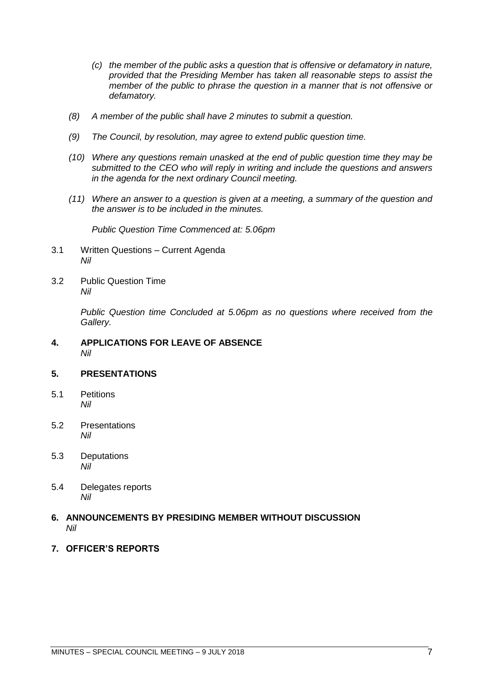- *(c) the member of the public asks a question that is offensive or defamatory in nature, provided that the Presiding Member has taken all reasonable steps to assist the member of the public to phrase the question in a manner that is not offensive or defamatory.*
- *(8) A member of the public shall have 2 minutes to submit a question.*
- *(9) The Council, by resolution, may agree to extend public question time.*
- *(10) Where any questions remain unasked at the end of public question time they may be submitted to the CEO who will reply in writing and include the questions and answers in the agenda for the next ordinary Council meeting.*
- *(11) Where an answer to a question is given at a meeting, a summary of the question and the answer is to be included in the minutes.*

*Public Question Time Commenced at: 5.06pm*

- <span id="page-6-0"></span>3.1 Written Questions – Current Agenda *Nil*
- <span id="page-6-1"></span>3.2 Public Question Time *Nil*

*Public Question time Concluded at 5.06pm as no questions where received from the Gallery.*

#### <span id="page-6-2"></span>**4. APPLICATIONS FOR LEAVE OF ABSENCE**  *Nil*

## <span id="page-6-3"></span>**5. PRESENTATIONS**

- <span id="page-6-4"></span>5.1 Petitions *Nil*
- <span id="page-6-5"></span>5.2 Presentations *Nil*
- <span id="page-6-6"></span>5.3 Deputations *Nil*
- <span id="page-6-7"></span>5.4 Delegates reports *Nil*
- <span id="page-6-8"></span>**6. ANNOUNCEMENTS BY PRESIDING MEMBER WITHOUT DISCUSSION** *Nil*
- <span id="page-6-9"></span>**7. OFFICER'S REPORTS**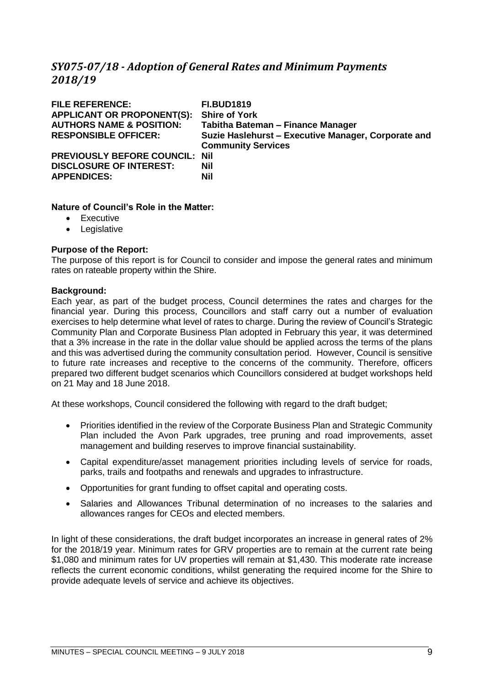# <span id="page-8-0"></span>*SY075-07/18 - Adoption of General Rates and Minimum Payments 2018/19*

| <b>FILE REFERENCE:</b><br><b>APPLICANT OR PROPONENT(S):</b><br><b>AUTHORS NAME &amp; POSITION:</b><br><b>RESPONSIBLE OFFICER:</b> | <b>FI.BUD1819</b><br><b>Shire of York</b><br>Tabitha Bateman - Finance Manager<br>Suzie Haslehurst - Executive Manager, Corporate and<br><b>Community Services</b> |
|-----------------------------------------------------------------------------------------------------------------------------------|--------------------------------------------------------------------------------------------------------------------------------------------------------------------|
| <b>PREVIOUSLY BEFORE COUNCIL: Nil</b><br><b>DISCLOSURE OF INTEREST:</b><br><b>APPENDICES:</b>                                     | Nil<br>Nil                                                                                                                                                         |

## **Nature of Council's Role in the Matter:**

- Executive
- Legislative

# **Purpose of the Report:**

The purpose of this report is for Council to consider and impose the general rates and minimum rates on rateable property within the Shire.

## **Background:**

Each year, as part of the budget process, Council determines the rates and charges for the financial year. During this process, Councillors and staff carry out a number of evaluation exercises to help determine what level of rates to charge. During the review of Council's Strategic Community Plan and Corporate Business Plan adopted in February this year, it was determined that a 3% increase in the rate in the dollar value should be applied across the terms of the plans and this was advertised during the community consultation period. However, Council is sensitive to future rate increases and receptive to the concerns of the community. Therefore, officers prepared two different budget scenarios which Councillors considered at budget workshops held on 21 May and 18 June 2018.

At these workshops, Council considered the following with regard to the draft budget;

- Priorities identified in the review of the Corporate Business Plan and Strategic Community Plan included the Avon Park upgrades, tree pruning and road improvements, asset management and building reserves to improve financial sustainability.
- Capital expenditure/asset management priorities including levels of service for roads, parks, trails and footpaths and renewals and upgrades to infrastructure.
- Opportunities for grant funding to offset capital and operating costs.
- Salaries and Allowances Tribunal determination of no increases to the salaries and allowances ranges for CEOs and elected members.

In light of these considerations, the draft budget incorporates an increase in general rates of 2% for the 2018/19 year. Minimum rates for GRV properties are to remain at the current rate being \$1,080 and minimum rates for UV properties will remain at \$1,430. This moderate rate increase reflects the current economic conditions, whilst generating the required income for the Shire to provide adequate levels of service and achieve its objectives.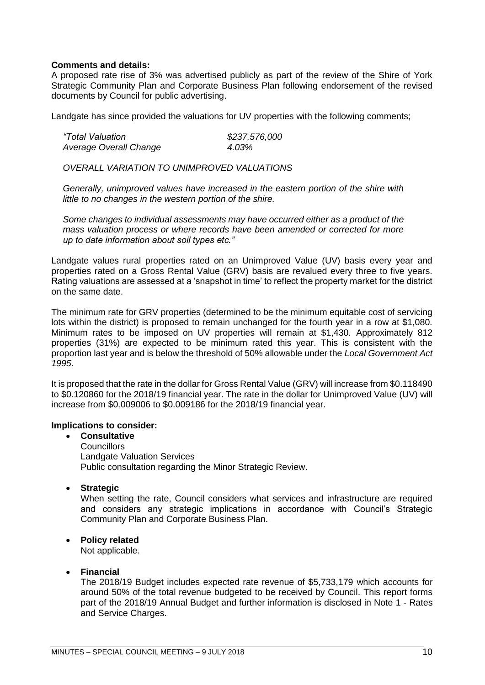#### **Comments and details:**

A proposed rate rise of 3% was advertised publicly as part of the review of the Shire of York Strategic Community Plan and Corporate Business Plan following endorsement of the revised documents by Council for public advertising.

Landgate has since provided the valuations for UV properties with the following comments;

| "Total Valuation       | \$237,576,000 |
|------------------------|---------------|
| Average Overall Change | 4.03%         |

*OVERALL VARIATION TO UNIMPROVED VALUATIONS*

*Generally, unimproved values have increased in the eastern portion of the shire with little to no changes in the western portion of the shire.*

*Some changes to individual assessments may have occurred either as a product of the mass valuation process or where records have been amended or corrected for more up to date information about soil types etc."*

Landgate values rural properties rated on an Unimproved Value (UV) basis every year and properties rated on a Gross Rental Value (GRV) basis are revalued every three to five years. Rating valuations are assessed at a 'snapshot in time' to reflect the property market for the district on the same date.

The minimum rate for GRV properties (determined to be the minimum equitable cost of servicing lots within the district) is proposed to remain unchanged for the fourth year in a row at \$1,080. Minimum rates to be imposed on UV properties will remain at \$1,430. Approximately 812 properties (31%) are expected to be minimum rated this year. This is consistent with the proportion last year and is below the threshold of 50% allowable under the *Local Government Act 1995*.

It is proposed that the rate in the dollar for Gross Rental Value (GRV) will increase from \$0.118490 to \$0.120860 for the 2018/19 financial year. The rate in the dollar for Unimproved Value (UV) will increase from \$0.009006 to \$0.009186 for the 2018/19 financial year.

#### **Implications to consider:**

• **Consultative Councillors** Landgate Valuation Services Public consultation regarding the Minor Strategic Review.

• **Strategic**

When setting the rate, Council considers what services and infrastructure are required and considers any strategic implications in accordance with Council's Strategic Community Plan and Corporate Business Plan.

## • **Policy related**

Not applicable.

#### • **Financial**

The 2018/19 Budget includes expected rate revenue of \$5,733,179 which accounts for around 50% of the total revenue budgeted to be received by Council. This report forms part of the 2018/19 Annual Budget and further information is disclosed in Note 1 - Rates and Service Charges.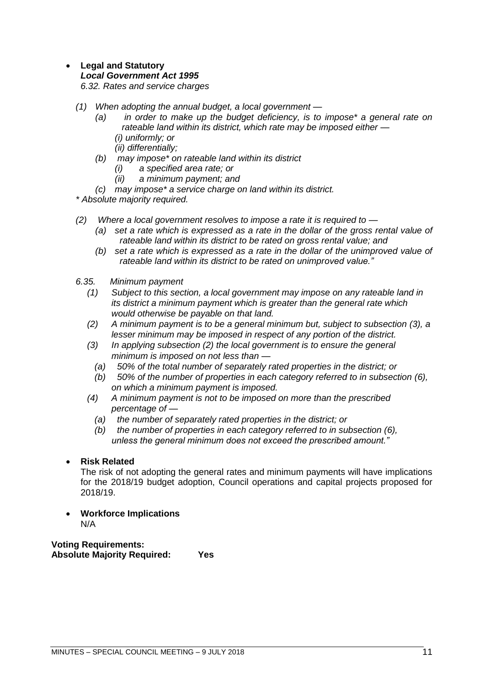# • **Legal and Statutory**

#### *Local Government Act 1995*

*6.32. Rates and service charges*

- *(1) When adopting the annual budget, a local government —*
	- *(a) in order to make up the budget deficiency, is to impose\* a general rate on rateable land within its district, which rate may be imposed either — (i) uniformly; or*
		- *(ii) differentially;*
	- *(b) may impose\* on rateable land within its district*
		- *(i) a specified area rate; or*
		- *(ii) a minimum payment; and*
	- *(c) may impose\* a service charge on land within its district.*

*\* Absolute majority required.*

- *(2) Where a local government resolves to impose a rate it is required to —*
	- *(a) set a rate which is expressed as a rate in the dollar of the gross rental value of rateable land within its district to be rated on gross rental value; and*
	- *(b) set a rate which is expressed as a rate in the dollar of the unimproved value of rateable land within its district to be rated on unimproved value."*
- *6.35. Minimum payment*
	- *(1) Subject to this section, a local government may impose on any rateable land in its district a minimum payment which is greater than the general rate which would otherwise be payable on that land.*
	- *(2) A minimum payment is to be a general minimum but, subject to subsection (3), a lesser minimum may be imposed in respect of any portion of the district.*
	- *(3) In applying subsection (2) the local government is to ensure the general minimum is imposed on not less than —*
		- *(a) 50% of the total number of separately rated properties in the district; or*
		- *(b) 50% of the number of properties in each category referred to in subsection (6), on which a minimum payment is imposed.*
	- *(4) A minimum payment is not to be imposed on more than the prescribed percentage of —*
		- *(a) the number of separately rated properties in the district; or*
		- *(b) the number of properties in each category referred to in subsection (6), unless the general minimum does not exceed the prescribed amount."*
- **Risk Related**

The risk of not adopting the general rates and minimum payments will have implications for the 2018/19 budget adoption, Council operations and capital projects proposed for 2018/19.

• **Workforce Implications** N/A

**Voting Requirements: Absolute Majority Required: Yes**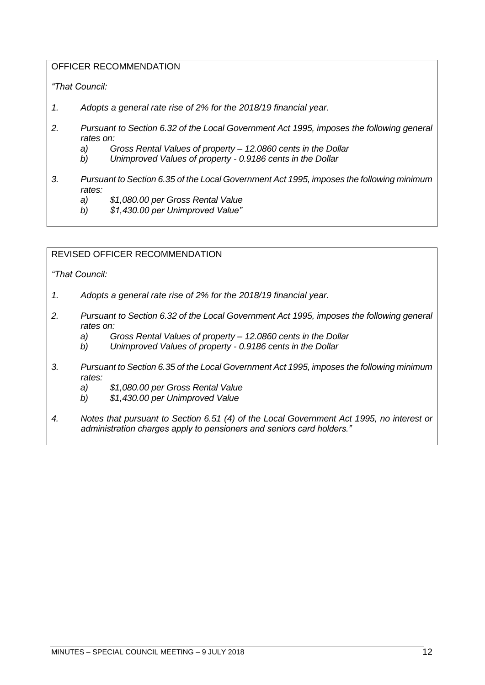# OFFICER RECOMMENDATION

# *"That Council:*

- *1. Adopts a general rate rise of 2% for the 2018/19 financial year.*
- *2. Pursuant to Section 6.32 of the Local Government Act 1995, imposes the following general rates on:*
	- *a) Gross Rental Values of property – 12.0860 cents in the Dollar*
	- *b) Unimproved Values of property - 0.9186 cents in the Dollar*
- *3. Pursuant to Section 6.35 of the Local Government Act 1995, imposes the following minimum rates:*
	- *a) \$1,080.00 per Gross Rental Value*
	- *b) \$1,430.00 per Unimproved Value"*

# REVISED OFFICER RECOMMENDATION

*"That Council:*

- *1. Adopts a general rate rise of 2% for the 2018/19 financial year.*
- *2. Pursuant to Section 6.32 of the Local Government Act 1995, imposes the following general rates on:*
	- *a) Gross Rental Values of property – 12.0860 cents in the Dollar*
	- *b) Unimproved Values of property - 0.9186 cents in the Dollar*
- *3. Pursuant to Section 6.35 of the Local Government Act 1995, imposes the following minimum rates:*
	- *a) \$1,080.00 per Gross Rental Value*
	- *b) \$1,430.00 per Unimproved Value*
- *4. Notes that pursuant to Section 6.51 (4) of the Local Government Act 1995, no interest or administration charges apply to pensioners and seniors card holders."*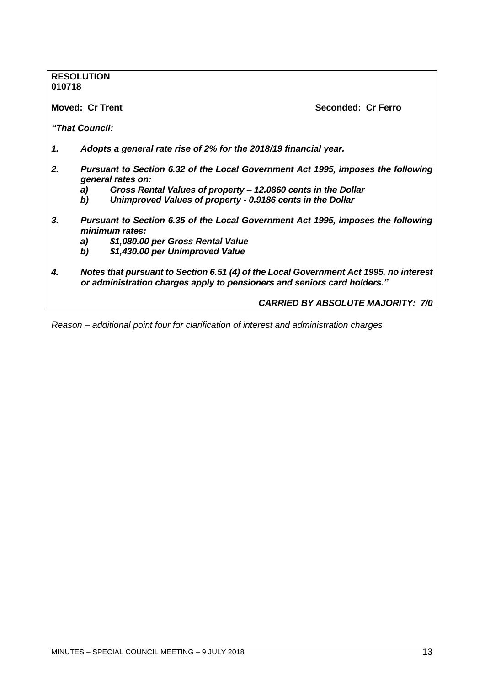# **RESOLUTION 010718 Moved: Cr Trent Seconded: Cr Ferro** *"That Council: 1. Adopts a general rate rise of 2% for the 2018/19 financial year. 2. Pursuant to Section 6.32 of the Local Government Act 1995, imposes the following general rates on: a) Gross Rental Values of property – 12.0860 cents in the Dollar b) Unimproved Values of property - 0.9186 cents in the Dollar 3. Pursuant to Section 6.35 of the Local Government Act 1995, imposes the following minimum rates: a) \$1,080.00 per Gross Rental Value b) \$1,430.00 per Unimproved Value 4. Notes that pursuant to Section 6.51 (4) of the Local Government Act 1995, no interest or administration charges apply to pensioners and seniors card holders." CARRIED BY ABSOLUTE MAJORITY: 7/0*

*Reason – additional point four for clarification of interest and administration charges*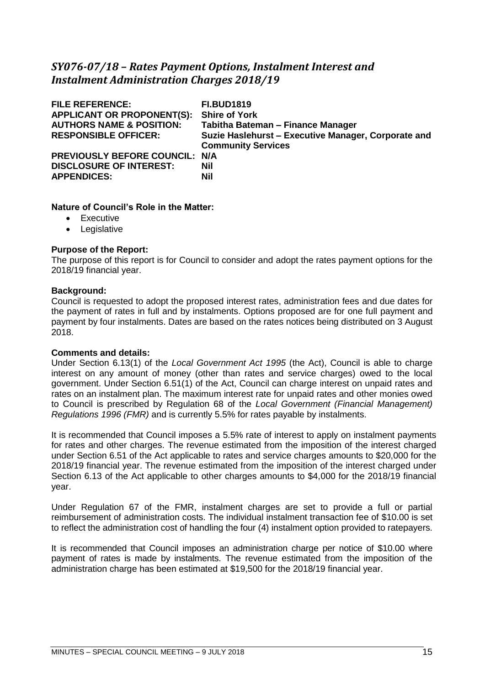# <span id="page-14-0"></span>*SY076-07/18 – Rates Payment Options, Instalment Interest and Instalment Administration Charges 2018/19*

| <b>FILE REFERENCE:</b><br><b>APPLICANT OR PROPONENT(S):</b><br><b>AUTHORS NAME &amp; POSITION:</b><br><b>RESPONSIBLE OFFICER:</b> | <b>FI.BUD1819</b><br><b>Shire of York</b><br>Tabitha Bateman - Finance Manager<br>Suzie Haslehurst - Executive Manager, Corporate and<br><b>Community Services</b> |
|-----------------------------------------------------------------------------------------------------------------------------------|--------------------------------------------------------------------------------------------------------------------------------------------------------------------|
| PREVIOUSLY BEFORE COUNCIL: N/A<br><b>DISCLOSURE OF INTEREST:</b><br><b>APPENDICES:</b>                                            | <b>Nil</b><br><b>Nil</b>                                                                                                                                           |

# **Nature of Council's Role in the Matter:**

- Executive
- Legislative

# **Purpose of the Report:**

The purpose of this report is for Council to consider and adopt the rates payment options for the 2018/19 financial year.

## **Background:**

Council is requested to adopt the proposed interest rates, administration fees and due dates for the payment of rates in full and by instalments. Options proposed are for one full payment and payment by four instalments. Dates are based on the rates notices being distributed on 3 August 2018.

## **Comments and details:**

Under Section 6.13(1) of the *Local Government Act 1995* (the Act), Council is able to charge interest on any amount of money (other than rates and service charges) owed to the local government. Under Section 6.51(1) of the Act, Council can charge interest on unpaid rates and rates on an instalment plan. The maximum interest rate for unpaid rates and other monies owed to Council is prescribed by Regulation 68 of the *Local Government (Financial Management) Regulations 1996 (FMR)* and is currently 5.5% for rates payable by instalments.

It is recommended that Council imposes a 5.5% rate of interest to apply on instalment payments for rates and other charges. The revenue estimated from the imposition of the interest charged under Section 6.51 of the Act applicable to rates and service charges amounts to \$20,000 for the 2018/19 financial year. The revenue estimated from the imposition of the interest charged under Section 6.13 of the Act applicable to other charges amounts to \$4,000 for the 2018/19 financial year.

Under Regulation 67 of the FMR, instalment charges are set to provide a full or partial reimbursement of administration costs. The individual instalment transaction fee of \$10.00 is set to reflect the administration cost of handling the four (4) instalment option provided to ratepayers.

It is recommended that Council imposes an administration charge per notice of \$10.00 where payment of rates is made by instalments. The revenue estimated from the imposition of the administration charge has been estimated at \$19,500 for the 2018/19 financial year.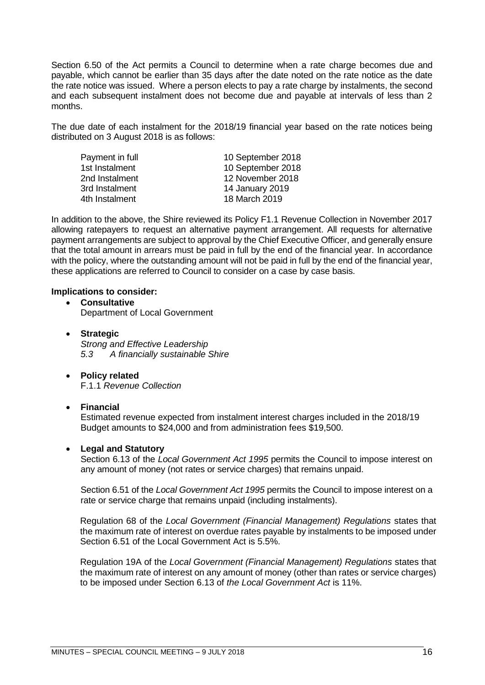Section 6.50 of the Act permits a Council to determine when a rate charge becomes due and payable, which cannot be earlier than 35 days after the date noted on the rate notice as the date the rate notice was issued. Where a person elects to pay a rate charge by instalments, the second and each subsequent instalment does not become due and payable at intervals of less than 2 months.

The due date of each instalment for the 2018/19 financial year based on the rate notices being distributed on 3 August 2018 is as follows:

| Payment in full | 10 September 2018 |
|-----------------|-------------------|
| 1st Instalment  | 10 September 2018 |
| 2nd Instalment  | 12 November 2018  |
| 3rd Instalment  | 14 January 2019   |
| 4th Instalment  | 18 March 2019     |
|                 |                   |

In addition to the above, the Shire reviewed its Policy F1.1 Revenue Collection in November 2017 allowing ratepayers to request an alternative payment arrangement. All requests for alternative payment arrangements are subject to approval by the Chief Executive Officer, and generally ensure that the total amount in arrears must be paid in full by the end of the financial year. In accordance with the policy, where the outstanding amount will not be paid in full by the end of the financial year, these applications are referred to Council to consider on a case by case basis.

#### **Implications to consider:**

- **Consultative** Department of Local Government
- **Strategic** *Strong and Effective Leadership 5.3 A financially sustainable Shire*
- **Policy related** F.1.1 *Revenue Collection*

## • **Financial**

Estimated revenue expected from instalment interest charges included in the 2018/19 Budget amounts to \$24,000 and from administration fees \$19,500.

## • **Legal and Statutory**

Section 6.13 of the *Local Government Act 1995* permits the Council to impose interest on any amount of money (not rates or service charges) that remains unpaid.

Section 6.51 of the *Local Government Act 1995* permits the Council to impose interest on a rate or service charge that remains unpaid (including instalments).

Regulation 68 of the *Local Government (Financial Management) Regulations* states that the maximum rate of interest on overdue rates payable by instalments to be imposed under Section 6.51 of the Local Government Act is 5.5%.

Regulation 19A of the *Local Government (Financial Management) Regulations* states that the maximum rate of interest on any amount of money (other than rates or service charges) to be imposed under Section 6.13 of *the Local Government Act* is 11%.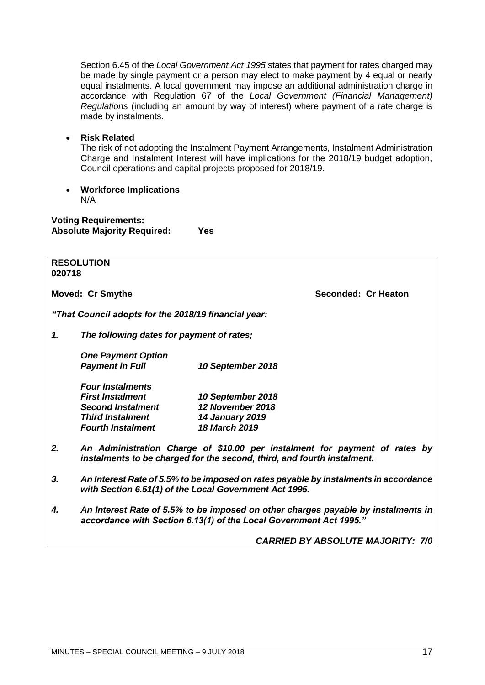Section 6.45 of the *Local Government Act 1995* states that payment for rates charged may be made by single payment or a person may elect to make payment by 4 equal or nearly equal instalments. A local government may impose an additional administration charge in accordance with Regulation 67 of the *Local Government (Financial Management) Regulations* (including an amount by way of interest) where payment of a rate charge is made by instalments.

• **Risk Related**

The risk of not adopting the Instalment Payment Arrangements, Instalment Administration Charge and Instalment Interest will have implications for the 2018/19 budget adoption, Council operations and capital projects proposed for 2018/19.

• **Workforce Implications** N/A

**Voting Requirements: Absolute Majority Required: Yes**

| 020718 | <b>RESOLUTION</b>                                                                                                                                       |                                                                                                                                                       |  |
|--------|---------------------------------------------------------------------------------------------------------------------------------------------------------|-------------------------------------------------------------------------------------------------------------------------------------------------------|--|
|        | <b>Moved: Cr Smythe</b>                                                                                                                                 | Seconded: Cr Heaton                                                                                                                                   |  |
|        | "That Council adopts for the 2018/19 financial year:                                                                                                    |                                                                                                                                                       |  |
| 1.     | The following dates for payment of rates;                                                                                                               |                                                                                                                                                       |  |
|        | <b>One Payment Option</b><br><b>Payment in Full</b>                                                                                                     | 10 September 2018                                                                                                                                     |  |
|        | <b>Four Instalments</b><br><b>First Instalment</b><br><b>Second Instalment</b><br><b>Third Instalment</b><br><b>Fourth Instalment</b>                   | 10 September 2018<br>12 November 2018<br><b>14 January 2019</b><br>18 March 2019                                                                      |  |
| 2.     |                                                                                                                                                         | An Administration Charge of \$10.00 per instalment for payment of rates by<br>instalments to be charged for the second, third, and fourth instalment. |  |
| 3.     | An Interest Rate of 5.5% to be imposed on rates payable by instalments in accordance<br>with Section 6.51(1) of the Local Government Act 1995.          |                                                                                                                                                       |  |
| 4.     | An Interest Rate of 5.5% to be imposed on other charges payable by instalments in<br>accordance with Section 6.13(1) of the Local Government Act 1995." |                                                                                                                                                       |  |
|        |                                                                                                                                                         | <b>CARRIED BY ABSOLUTE MAJORITY: 7/0</b>                                                                                                              |  |
|        |                                                                                                                                                         |                                                                                                                                                       |  |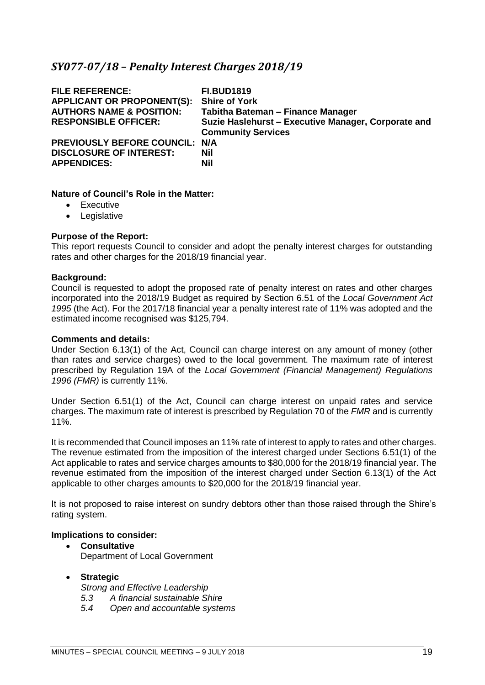# <span id="page-18-0"></span>*SY077-07/18 – Penalty Interest Charges 2018/19*

| <b>FILE REFERENCE:</b><br><b>APPLICANT OR PROPONENT(S):</b><br><b>AUTHORS NAME &amp; POSITION:</b><br><b>RESPONSIBLE OFFICER:</b> | <b>FI.BUD1819</b><br><b>Shire of York</b><br>Tabitha Bateman - Finance Manager<br>Suzie Haslehurst - Executive Manager, Corporate and<br><b>Community Services</b> |
|-----------------------------------------------------------------------------------------------------------------------------------|--------------------------------------------------------------------------------------------------------------------------------------------------------------------|
| PREVIOUSLY BEFORE COUNCIL: N/A                                                                                                    |                                                                                                                                                                    |
| <b>DISCLOSURE OF INTEREST:</b>                                                                                                    | Nil                                                                                                                                                                |
| <b>APPENDICES:</b>                                                                                                                | <b>Nil</b>                                                                                                                                                         |

#### **Nature of Council's Role in the Matter:**

- Executive
- Legislative

#### **Purpose of the Report:**

This report requests Council to consider and adopt the penalty interest charges for outstanding rates and other charges for the 2018/19 financial year.

#### **Background:**

Council is requested to adopt the proposed rate of penalty interest on rates and other charges incorporated into the 2018/19 Budget as required by Section 6.51 of the *Local Government Act 1995* (the Act). For the 2017/18 financial year a penalty interest rate of 11% was adopted and the estimated income recognised was \$125,794.

#### **Comments and details:**

Under Section 6.13(1) of the Act, Council can charge interest on any amount of money (other than rates and service charges) owed to the local government. The maximum rate of interest prescribed by Regulation 19A of the *Local Government (Financial Management) Regulations 1996 (FMR)* is currently 11%.

Under Section 6.51(1) of the Act, Council can charge interest on unpaid rates and service charges. The maximum rate of interest is prescribed by Regulation 70 of the *FMR* and is currently 11%.

It is recommended that Council imposes an 11% rate of interest to apply to rates and other charges. The revenue estimated from the imposition of the interest charged under Sections 6.51(1) of the Act applicable to rates and service charges amounts to \$80,000 for the 2018/19 financial year. The revenue estimated from the imposition of the interest charged under Section 6.13(1) of the Act applicable to other charges amounts to \$20,000 for the 2018/19 financial year.

It is not proposed to raise interest on sundry debtors other than those raised through the Shire's rating system.

#### **Implications to consider:**

- **Consultative** Department of Local Government
- **Strategic**

*Strong and Effective Leadership*

- *5.3 A financial sustainable Shire*
- *5.4 Open and accountable systems*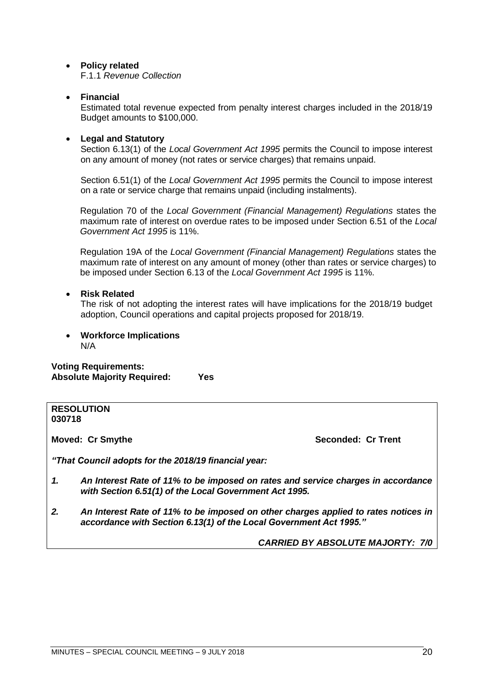# • **Policy related**

F.1.1 *Revenue Collection*

# • **Financial**

Estimated total revenue expected from penalty interest charges included in the 2018/19 Budget amounts to \$100,000.

# • **Legal and Statutory**

Section 6.13(1) of the *Local Government Act 1995* permits the Council to impose interest on any amount of money (not rates or service charges) that remains unpaid.

Section 6.51(1) of the *Local Government Act 1995* permits the Council to impose interest on a rate or service charge that remains unpaid (including instalments).

Regulation 70 of the *Local Government (Financial Management) Regulations* states the maximum rate of interest on overdue rates to be imposed under Section 6.51 of the *Local Government Act 1995* is 11%.

Regulation 19A of the *Local Government (Financial Management) Regulations* states the maximum rate of interest on any amount of money (other than rates or service charges) to be imposed under Section 6.13 of the *Local Government Act 1995* is 11%.

## • **Risk Related**

The risk of not adopting the interest rates will have implications for the 2018/19 budget adoption, Council operations and capital projects proposed for 2018/19.

• **Workforce Implications** N/A

**Voting Requirements: Absolute Majority Required: Yes**

#### **RESOLUTION 030718**

**Moved: Cr Smythe Seconded: Cr Trent** 

*"That Council adopts for the 2018/19 financial year:*

- *1. An Interest Rate of 11% to be imposed on rates and service charges in accordance with Section 6.51(1) of the Local Government Act 1995.*
- *2. An Interest Rate of 11% to be imposed on other charges applied to rates notices in accordance with Section 6.13(1) of the Local Government Act 1995."*

*CARRIED BY ABSOLUTE MAJORTY: 7/0*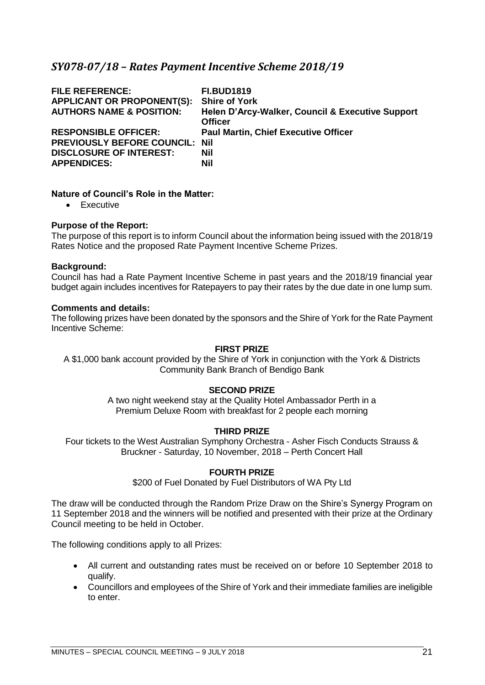# <span id="page-20-0"></span>*SY078-07/18 – Rates Payment Incentive Scheme 2018/19*

| <b>FILE REFERENCE:</b><br><b>APPLICANT OR PROPONENT(S):</b><br><b>AUTHORS NAME &amp; POSITION:</b> | <b>FI.BUD1819</b><br><b>Shire of York</b><br>Helen D'Arcy-Walker, Council & Executive Support<br><b>Officer</b> |
|----------------------------------------------------------------------------------------------------|-----------------------------------------------------------------------------------------------------------------|
| <b>RESPONSIBLE OFFICER:</b>                                                                        | <b>Paul Martin, Chief Executive Officer</b>                                                                     |
| <b>PREVIOUSLY BEFORE COUNCIL:</b>                                                                  | Nil                                                                                                             |
| <b>DISCLOSURE OF INTEREST:</b>                                                                     | Nil                                                                                                             |
| <b>APPENDICES:</b>                                                                                 | Nil                                                                                                             |

#### **Nature of Council's Role in the Matter:**

• Executive

#### **Purpose of the Report:**

The purpose of this report is to inform Council about the information being issued with the 2018/19 Rates Notice and the proposed Rate Payment Incentive Scheme Prizes.

#### **Background:**

Council has had a Rate Payment Incentive Scheme in past years and the 2018/19 financial year budget again includes incentives for Ratepayers to pay their rates by the due date in one lump sum.

#### **Comments and details:**

The following prizes have been donated by the sponsors and the Shire of York for the Rate Payment Incentive Scheme:

## **FIRST PRIZE**

A \$1,000 bank account provided by the Shire of York in conjunction with the York & Districts Community Bank Branch of Bendigo Bank

## **SECOND PRIZE**

A two night weekend stay at the Quality Hotel Ambassador Perth in a Premium Deluxe Room with breakfast for 2 people each morning

## **THIRD PRIZE**

Four tickets to the West Australian Symphony Orchestra - Asher Fisch Conducts Strauss & Bruckner - Saturday, 10 November, 2018 – Perth Concert Hall

#### **FOURTH PRIZE**

\$200 of Fuel Donated by Fuel Distributors of WA Pty Ltd

The draw will be conducted through the Random Prize Draw on the Shire's Synergy Program on 11 September 2018 and the winners will be notified and presented with their prize at the Ordinary Council meeting to be held in October.

The following conditions apply to all Prizes:

- All current and outstanding rates must be received on or before 10 September 2018 to qualify.
- Councillors and employees of the Shire of York and their immediate families are ineligible to enter.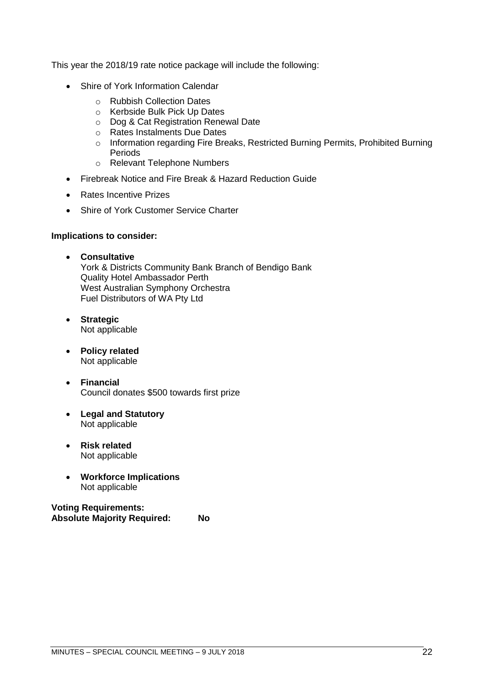This year the 2018/19 rate notice package will include the following:

- Shire of York Information Calendar
	- o Rubbish Collection Dates
	- o Kerbside Bulk Pick Up Dates
	- o Dog & Cat Registration Renewal Date
	- o Rates Instalments Due Dates
	- o Information regarding Fire Breaks, Restricted Burning Permits, Prohibited Burning Periods
	- o Relevant Telephone Numbers
- Firebreak Notice and Fire Break & Hazard Reduction Guide
- Rates Incentive Prizes
- Shire of York Customer Service Charter

#### **Implications to consider:**

- **Consultative** York & Districts Community Bank Branch of Bendigo Bank Quality Hotel Ambassador Perth West Australian Symphony Orchestra Fuel Distributors of WA Pty Ltd
- **Strategic** Not applicable
- **Policy related** Not applicable
- **Financial** Council donates \$500 towards first prize
- **Legal and Statutory** Not applicable
- **Risk related** Not applicable
- **Workforce Implications** Not applicable

**Voting Requirements: Absolute Majority Required: No**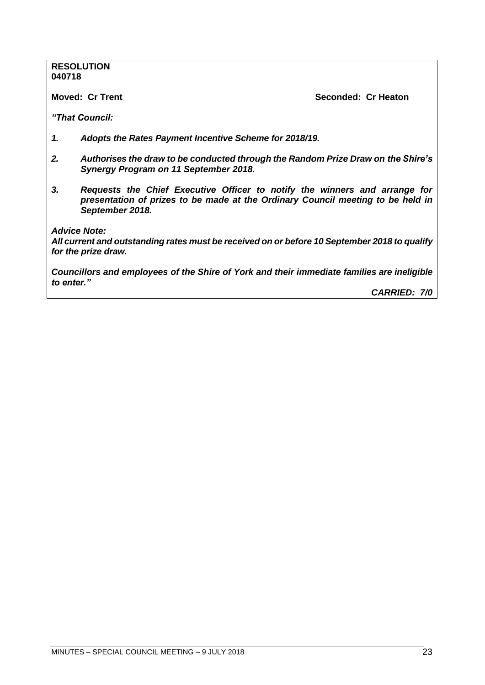#### **RESOLUTION 040718**

**Moved: Cr Trent Seconded: Cr Heaton**

*"That Council:*

- *1. Adopts the Rates Payment Incentive Scheme for 2018/19.*
- *2. Authorises the draw to be conducted through the Random Prize Draw on the Shire's Synergy Program on 11 September 2018.*
- *3. Requests the Chief Executive Officer to notify the winners and arrange for presentation of prizes to be made at the Ordinary Council meeting to be held in September 2018.*

*Advice Note:*

*All current and outstanding rates must be received on or before 10 September 2018 to qualify for the prize draw.*

*Councillors and employees of the Shire of York and their immediate families are ineligible to enter."*

*CARRIED: 7/0*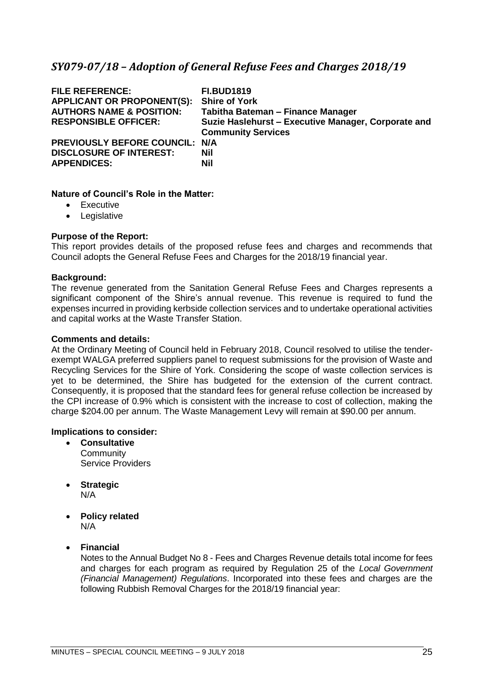# <span id="page-24-0"></span>*SY079-07/18 – Adoption of General Refuse Fees and Charges 2018/19*

| <b>FILE REFERENCE:</b><br><b>APPLICANT OR PROPONENT(S):</b><br><b>AUTHORS NAME &amp; POSITION:</b> | <b>FI.BUD1819</b><br><b>Shire of York</b><br>Tabitha Bateman - Finance Manager   |
|----------------------------------------------------------------------------------------------------|----------------------------------------------------------------------------------|
| <b>RESPONSIBLE OFFICER:</b>                                                                        | Suzie Haslehurst - Executive Manager, Corporate and<br><b>Community Services</b> |
| PREVIOUSLY BEFORE COUNCIL: N/A                                                                     |                                                                                  |
| <b>DISCLOSURE OF INTEREST:</b>                                                                     | <b>Nil</b>                                                                       |
| <b>APPENDICES:</b>                                                                                 | <b>Nil</b>                                                                       |

#### **Nature of Council's Role in the Matter:**

- Executive
- Legislative

#### **Purpose of the Report:**

This report provides details of the proposed refuse fees and charges and recommends that Council adopts the General Refuse Fees and Charges for the 2018/19 financial year.

#### **Background:**

The revenue generated from the Sanitation General Refuse Fees and Charges represents a significant component of the Shire's annual revenue. This revenue is required to fund the expenses incurred in providing kerbside collection services and to undertake operational activities and capital works at the Waste Transfer Station.

#### **Comments and details:**

At the Ordinary Meeting of Council held in February 2018, Council resolved to utilise the tenderexempt WALGA preferred suppliers panel to request submissions for the provision of Waste and Recycling Services for the Shire of York. Considering the scope of waste collection services is yet to be determined, the Shire has budgeted for the extension of the current contract. Consequently, it is proposed that the standard fees for general refuse collection be increased by the CPI increase of 0.9% which is consistent with the increase to cost of collection, making the charge \$204.00 per annum. The Waste Management Levy will remain at \$90.00 per annum.

#### **Implications to consider:**

- **Consultative Community** Service Providers
- **Strategic** N/A
- **Policy related** N/A
- **Financial**

Notes to the Annual Budget No 8 - Fees and Charges Revenue details total income for fees and charges for each program as required by Regulation 25 of the *Local Government (Financial Management) Regulations*. Incorporated into these fees and charges are the following Rubbish Removal Charges for the 2018/19 financial year: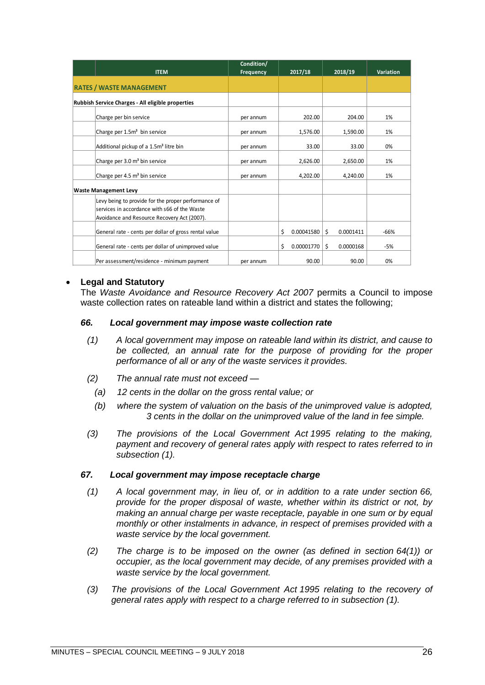|                                                                                                                                                    | Condition/ |                  |                 |                  |
|----------------------------------------------------------------------------------------------------------------------------------------------------|------------|------------------|-----------------|------------------|
| <b>ITEM</b>                                                                                                                                        | Frequency  | 2017/18          | 2018/19         | <b>Variation</b> |
| <b>RATES / WASTE MANAGEMENT</b>                                                                                                                    |            |                  |                 |                  |
| Rubbish Service Charges - All eligible properties                                                                                                  |            |                  |                 |                  |
| Charge per bin service                                                                                                                             | per annum  | 202.00           | 204.00          | 1%               |
| Charge per 1.5m <sup>3</sup> bin service                                                                                                           | per annum  | 1,576.00         | 1,590.00        | 1%               |
| Additional pickup of a 1.5m <sup>3</sup> litre bin                                                                                                 | per annum  | 33.00            | 33.00           | 0%               |
| Charge per 3.0 m <sup>3</sup> bin service                                                                                                          | per annum  | 2,626.00         | 2,650.00        | 1%               |
| Charge per 4.5 m <sup>3</sup> bin service                                                                                                          | per annum  | 4,202.00         | 4,240.00        | 1%               |
| <b>Waste Management Levy</b>                                                                                                                       |            |                  |                 |                  |
| Levy being to provide for the proper performance of<br>services in accordance with s66 of the Waste<br>Avoidance and Resource Recovery Act (2007). |            |                  |                 |                  |
| General rate - cents per dollar of gross rental value                                                                                              |            | \$<br>0.00041580 | \$<br>0.0001411 | $-66%$           |
| General rate - cents per dollar of unimproved value                                                                                                |            | \$<br>0.00001770 | \$<br>0.0000168 | -5%              |
| Per assessment/residence - minimum payment                                                                                                         | per annum  | 90.00            | 90.00           | 0%               |

#### • **Legal and Statutory**

The *Waste Avoidance and Resource Recovery Act 2007* permits a Council to impose waste collection rates on rateable land within a district and states the following;

#### *66. Local government may impose waste collection rate*

- *(1) A local government may impose on rateable land within its district, and cause to be collected, an annual rate for the purpose of providing for the proper performance of all or any of the waste services it provides.*
- *(2) The annual rate must not exceed —*
	- *(a) 12 cents in the dollar on the gross rental value; or*
	- *(b) where the system of valuation on the basis of the unimproved value is adopted, 3 cents in the dollar on the unimproved value of the land in fee simple.*
- *(3) The provisions of the Local Government Act 1995 relating to the making,*  payment and recovery of general rates apply with respect to rates referred to in *subsection (1).*

#### *67. Local government may impose receptacle charge*

- *(1) A local government may, in lieu of, or in addition to a rate under section 66, provide for the proper disposal of waste, whether within its district or not, by making an annual charge per waste receptacle, payable in one sum or by equal monthly or other instalments in advance, in respect of premises provided with a waste service by the local government.*
- *(2) The charge is to be imposed on the owner (as defined in section 64(1)) or occupier, as the local government may decide, of any premises provided with a waste service by the local government.*
- *(3) The provisions of the Local Government Act 1995 relating to the recovery of general rates apply with respect to a charge referred to in subsection (1).*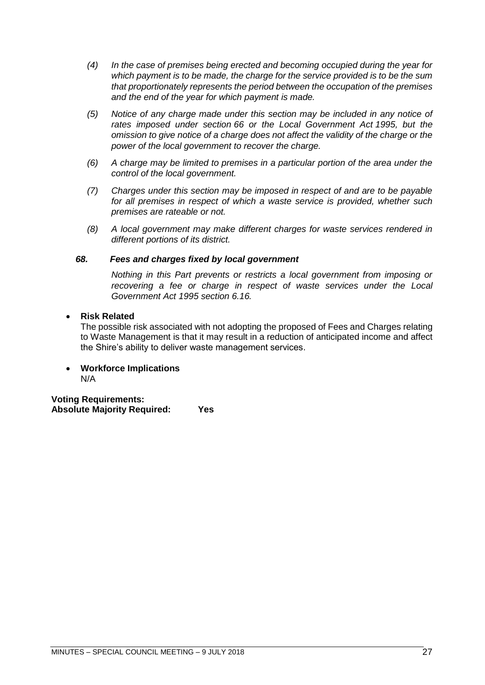- *(4) In the case of premises being erected and becoming occupied during the year for which payment is to be made, the charge for the service provided is to be the sum that proportionately represents the period between the occupation of the premises and the end of the year for which payment is made.*
- *(5) Notice of any charge made under this section may be included in any notice of rates imposed under section 66 or the Local Government Act 1995, but the omission to give notice of a charge does not affect the validity of the charge or the power of the local government to recover the charge.*
- *(6) A charge may be limited to premises in a particular portion of the area under the control of the local government.*
- *(7) Charges under this section may be imposed in respect of and are to be payable*  for all premises in respect of which a waste service is provided, whether such *premises are rateable or not.*
- *(8) A local government may make different charges for waste services rendered in different portions of its district.*

## *68. Fees and charges fixed by local government*

*Nothing in this Part prevents or restricts a local government from imposing or recovering a fee or charge in respect of waste services under the Local Government Act 1995 section 6.16.*

#### • **Risk Related**

The possible risk associated with not adopting the proposed of Fees and Charges relating to Waste Management is that it may result in a reduction of anticipated income and affect the Shire's ability to deliver waste management services.

• **Workforce Implications** N/A

**Voting Requirements: Absolute Majority Required: Yes**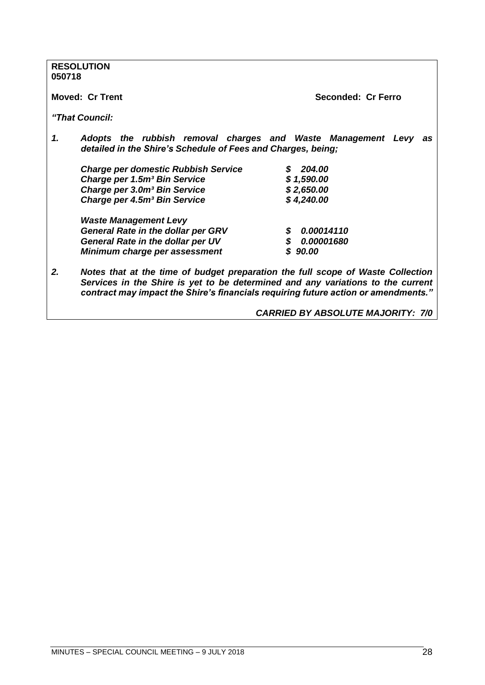| <b>RESOLUTION</b><br>050718                                        |                                                                                                                                                                                                                                                          |
|--------------------------------------------------------------------|----------------------------------------------------------------------------------------------------------------------------------------------------------------------------------------------------------------------------------------------------------|
| <b>Moved: Cr Trent</b>                                             | Seconded: Cr Ferro                                                                                                                                                                                                                                       |
| "That Council:                                                     |                                                                                                                                                                                                                                                          |
| 1.<br>detailed in the Shire's Schedule of Fees and Charges, being; | Adopts the rubbish removal charges and Waste Management Levy as                                                                                                                                                                                          |
| <b>Charge per domestic Rubbish Service</b>                         | 204.00                                                                                                                                                                                                                                                   |
| Charge per 1.5m <sup>3</sup> Bin Service                           | \$1,590.00                                                                                                                                                                                                                                               |
| Charge per 3.0m <sup>3</sup> Bin Service                           | \$2,650.00                                                                                                                                                                                                                                               |
| Charge per 4.5m <sup>3</sup> Bin Service                           | \$4,240.00                                                                                                                                                                                                                                               |
| <b>Waste Management Levy</b>                                       |                                                                                                                                                                                                                                                          |
| <b>General Rate in the dollar per GRV</b>                          | 0.00014110<br>S                                                                                                                                                                                                                                          |
| General Rate in the dollar per UV                                  | \$0.00001680                                                                                                                                                                                                                                             |
| Minimum charge per assessment                                      | \$90.00                                                                                                                                                                                                                                                  |
| 2.                                                                 | Notes that at the time of budget preparation the full scope of Waste Collection<br>Services in the Shire is yet to be determined and any variations to the current<br>contract may impact the Shire's financials requiring future action or amendments." |
|                                                                    | <b>CARRIED BY ABSOLUTE MAJORITY: 7/0</b>                                                                                                                                                                                                                 |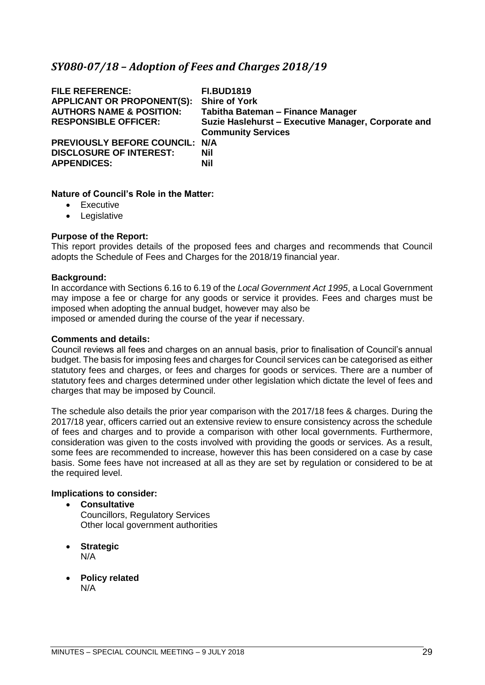# <span id="page-28-0"></span>*SY080-07/18 – Adoption of Fees and Charges 2018/19*

| <b>FILE REFERENCE:</b><br><b>APPLICANT OR PROPONENT(S):</b><br><b>AUTHORS NAME &amp; POSITION:</b><br><b>RESPONSIBLE OFFICER:</b> | <b>FI.BUD1819</b><br><b>Shire of York</b><br>Tabitha Bateman - Finance Manager<br>Suzie Haslehurst - Executive Manager, Corporate and<br><b>Community Services</b> |
|-----------------------------------------------------------------------------------------------------------------------------------|--------------------------------------------------------------------------------------------------------------------------------------------------------------------|
| PREVIOUSLY BEFORE COUNCIL: N/A<br><b>DISCLOSURE OF INTEREST:</b><br><b>APPENDICES:</b>                                            | Nil<br><b>Nil</b>                                                                                                                                                  |

#### **Nature of Council's Role in the Matter:**

- Executive
- Legislative

#### **Purpose of the Report:**

This report provides details of the proposed fees and charges and recommends that Council adopts the Schedule of Fees and Charges for the 2018/19 financial year.

#### **Background:**

In accordance with Sections 6.16 to 6.19 of the *Local Government Act 1995*, a Local Government may impose a fee or charge for any goods or service it provides. Fees and charges must be imposed when adopting the annual budget, however may also be imposed or amended during the course of the year if necessary.

#### **Comments and details:**

Council reviews all fees and charges on an annual basis, prior to finalisation of Council's annual budget. The basis for imposing fees and charges for Council services can be categorised as either statutory fees and charges, or fees and charges for goods or services. There are a number of statutory fees and charges determined under other legislation which dictate the level of fees and charges that may be imposed by Council.

The schedule also details the prior year comparison with the 2017/18 fees & charges. During the 2017/18 year, officers carried out an extensive review to ensure consistency across the schedule of fees and charges and to provide a comparison with other local governments. Furthermore, consideration was given to the costs involved with providing the goods or services. As a result, some fees are recommended to increase, however this has been considered on a case by case basis. Some fees have not increased at all as they are set by regulation or considered to be at the required level.

## **Implications to consider:**

- **Consultative** Councillors, Regulatory Services Other local government authorities
- **Strategic** N/A
- **Policy related** N/A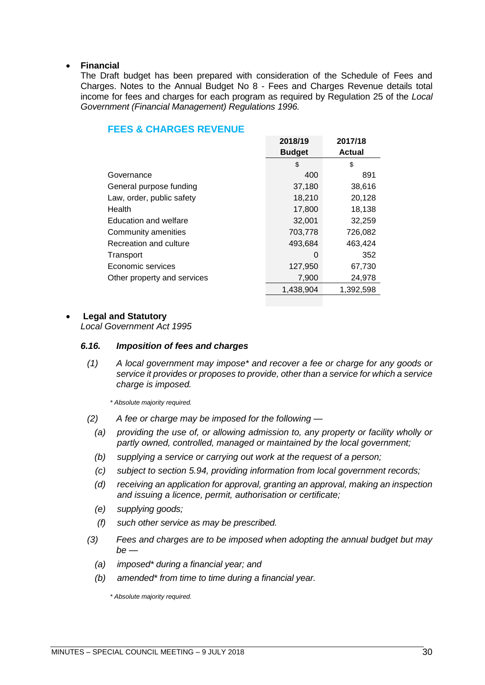#### • **Financial**

The Draft budget has been prepared with consideration of the Schedule of Fees and Charges. Notes to the Annual Budget No 8 - Fees and Charges Revenue details total income for fees and charges for each program as required by Regulation 25 of the *Local Government (Financial Management) Regulations 1996.*

|                             | 2018/19       | 2017/18       |
|-----------------------------|---------------|---------------|
|                             | <b>Budget</b> | <b>Actual</b> |
|                             | \$            | \$            |
| Governance                  | 400           | 891           |
| General purpose funding     | 37,180        | 38,616        |
| Law, order, public safety   | 18,210        | 20,128        |
| Health                      | 17,800        | 18,138        |
| Education and welfare       | 32,001        | 32,259        |
| Community amenities         | 703,778       | 726,082       |
| Recreation and culture      | 493,684       | 463,424       |
| Transport                   | 0             | 352           |
| Economic services           | 127,950       | 67,730        |
| Other property and services | 7,900         | 24,978        |
|                             | 1,438,904     | 1,392,598     |

# **FEES & CHARGES REVENUE**

#### • **Legal and Statutory**

*Local Government Act 1995*

#### *6.16. Imposition of fees and charges*

*(1) A local government may impose\* and recover a fee or charge for any goods or service it provides or proposes to provide, other than a service for which a service charge is imposed.*

*\* Absolute majority required.*

- *(2) A fee or charge may be imposed for the following —*
	- *(a) providing the use of, or allowing admission to, any property or facility wholly or partly owned, controlled, managed or maintained by the local government;*
	- *(b) supplying a service or carrying out work at the request of a person;*
	- *(c) subject to section 5.94, providing information from local government records;*
	- *(d) receiving an application for approval, granting an approval, making an inspection and issuing a licence, permit, authorisation or certificate;*
	- *(e) supplying goods;*
	- *(f) such other service as may be prescribed.*
- *(3) Fees and charges are to be imposed when adopting the annual budget but may be —*
	- *(a) imposed\* during a financial year; and*
	- *(b) amended\* from time to time during a financial year.*

*\* Absolute majority required.*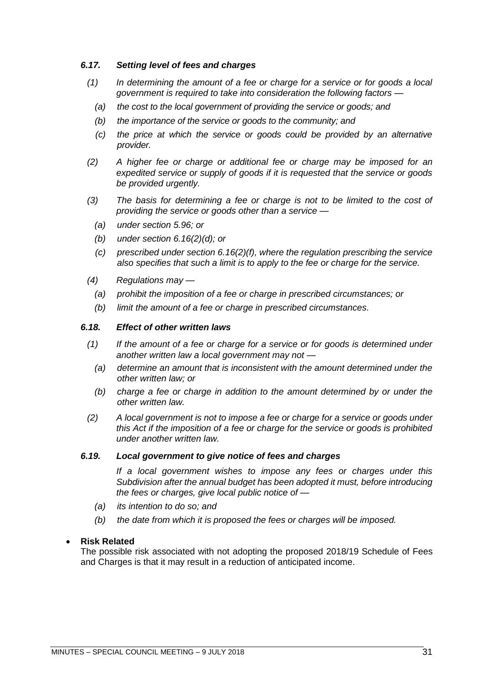## *6.17. Setting level of fees and charges*

- *(1) In determining the amount of a fee or charge for a service or for goods a local government is required to take into consideration the following factors —*
	- *(a) the cost to the local government of providing the service or goods; and*
	- *(b) the importance of the service or goods to the community; and*
	- *(c) the price at which the service or goods could be provided by an alternative provider.*
- *(2) A higher fee or charge or additional fee or charge may be imposed for an expedited service or supply of goods if it is requested that the service or goods be provided urgently.*
- *(3) The basis for determining a fee or charge is not to be limited to the cost of providing the service or goods other than a service —*
	- *(a) under section 5.96; or*
	- *(b) under section 6.16(2)(d); or*
	- *(c) prescribed under section 6.16(2)(f), where the regulation prescribing the service also specifies that such a limit is to apply to the fee or charge for the service.*
- *(4) Regulations may —*
	- *(a) prohibit the imposition of a fee or charge in prescribed circumstances; or*
	- *(b) limit the amount of a fee or charge in prescribed circumstances.*

#### *6.18. Effect of other written laws*

- *(1) If the amount of a fee or charge for a service or for goods is determined under another written law a local government may not —*
	- *(a) determine an amount that is inconsistent with the amount determined under the other written law; or*
	- *(b) charge a fee or charge in addition to the amount determined by or under the other written law.*
- *(2) A local government is not to impose a fee or charge for a service or goods under this Act if the imposition of a fee or charge for the service or goods is prohibited under another written law.*

#### *6.19. Local government to give notice of fees and charges*

*If a local government wishes to impose any fees or charges under this Subdivision after the annual budget has been adopted it must, before introducing the fees or charges, give local public notice of —*

- *(a) its intention to do so; and*
- *(b) the date from which it is proposed the fees or charges will be imposed.*

#### • **Risk Related**

The possible risk associated with not adopting the proposed 2018/19 Schedule of Fees and Charges is that it may result in a reduction of anticipated income.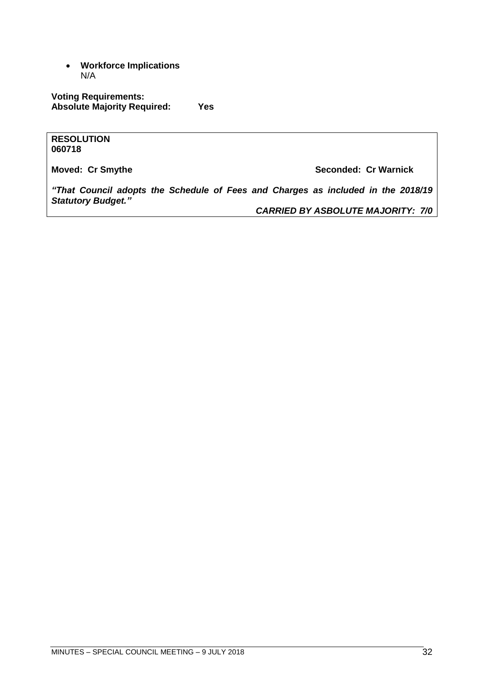• **Workforce Implications** N/A

**Voting Requirements: Absolute Majority Required: Yes**

**RESOLUTION 060718**

**Moved: Cr Smythe Seconded: Cr Warnick Seconded: Cr Warnick** 

*"That Council adopts the Schedule of Fees and Charges as included in the 2018/19 Statutory Budget."*

*CARRIED BY ASBOLUTE MAJORITY: 7/0*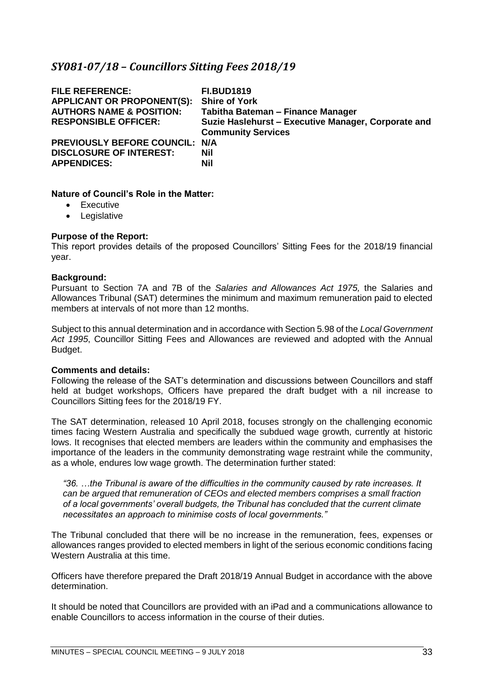# <span id="page-32-0"></span>*SY081-07/18 – Councillors Sitting Fees 2018/19*

| <b>Shire of York</b><br>Tabitha Bateman - Finance Manager<br>Suzie Haslehurst - Executive Manager, Corporate and<br><b>Community Services</b> |
|-----------------------------------------------------------------------------------------------------------------------------------------------|
|                                                                                                                                               |
|                                                                                                                                               |

#### **Nature of Council's Role in the Matter:**

- Executive
- Legislative

#### **Purpose of the Report:**

This report provides details of the proposed Councillors' Sitting Fees for the 2018/19 financial year.

#### **Background:**

Pursuant to Section 7A and 7B of the *Salaries and Allowances Act 1975,* the Salaries and Allowances Tribunal (SAT) determines the minimum and maximum remuneration paid to elected members at intervals of not more than 12 months.

Subject to this annual determination and in accordance with Section 5.98 of the *Local Government Act 1995*, Councillor Sitting Fees and Allowances are reviewed and adopted with the Annual Budget.

#### **Comments and details:**

Following the release of the SAT's determination and discussions between Councillors and staff held at budget workshops, Officers have prepared the draft budget with a nil increase to Councillors Sitting fees for the 2018/19 FY.

The SAT determination, released 10 April 2018, focuses strongly on the challenging economic times facing Western Australia and specifically the subdued wage growth, currently at historic lows. It recognises that elected members are leaders within the community and emphasises the importance of the leaders in the community demonstrating wage restraint while the community, as a whole, endures low wage growth. The determination further stated:

*"36. …the Tribunal is aware of the difficulties in the community caused by rate increases. It can be argued that remuneration of CEOs and elected members comprises a small fraction of a local governments' overall budgets, the Tribunal has concluded that the current climate necessitates an approach to minimise costs of local governments."*

The Tribunal concluded that there will be no increase in the remuneration, fees, expenses or allowances ranges provided to elected members in light of the serious economic conditions facing Western Australia at this time.

Officers have therefore prepared the Draft 2018/19 Annual Budget in accordance with the above determination.

It should be noted that Councillors are provided with an iPad and a communications allowance to enable Councillors to access information in the course of their duties.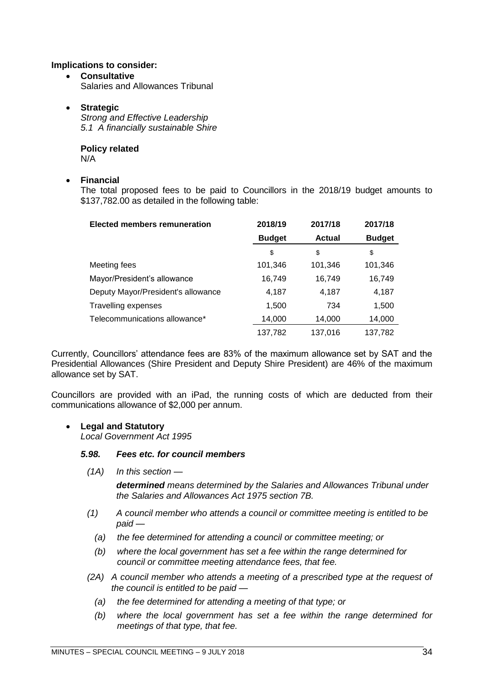#### **Implications to consider:**

• **Consultative** Salaries and Allowances Tribunal

#### • **Strategic**

*Strong and Effective Leadership 5.1 A financially sustainable Shire*

**Policy related** N/A

#### • **Financial**

The total proposed fees to be paid to Councillors in the 2018/19 budget amounts to \$137,782.00 as detailed in the following table:

| <b>Elected members remuneration</b> | 2018/19       | 2017/18       | 2017/18       |
|-------------------------------------|---------------|---------------|---------------|
|                                     | <b>Budget</b> | <b>Actual</b> | <b>Budget</b> |
|                                     | \$            | \$            | \$            |
| Meeting fees                        | 101,346       | 101,346       | 101,346       |
| Mayor/President's allowance         | 16,749        | 16,749        | 16,749        |
| Deputy Mayor/President's allowance  | 4,187         | 4,187         | 4,187         |
| <b>Travelling expenses</b>          | 1,500         | 734           | 1,500         |
| Telecommunications allowance*       | 14,000        | 14,000        | 14,000        |
|                                     | 137,782       | 137,016       | 137,782       |

Currently, Councillors' attendance fees are 83% of the maximum allowance set by SAT and the Presidential Allowances (Shire President and Deputy Shire President) are 46% of the maximum allowance set by SAT.

Councillors are provided with an iPad, the running costs of which are deducted from their communications allowance of \$2,000 per annum.

## • **Legal and Statutory**

*Local Government Act 1995*

#### *5.98. Fees etc. for council members*

*(1A) In this section —*

*determined means determined by the Salaries and Allowances Tribunal under the Salaries and Allowances Act 1975 section 7B.*

- *(1) A council member who attends a council or committee meeting is entitled to be paid —*
	- *(a) the fee determined for attending a council or committee meeting; or*
	- *(b) where the local government has set a fee within the range determined for council or committee meeting attendance fees, that fee.*
- *(2A) A council member who attends a meeting of a prescribed type at the request of the council is entitled to be paid —*
	- *(a) the fee determined for attending a meeting of that type; or*
	- *(b) where the local government has set a fee within the range determined for meetings of that type, that fee.*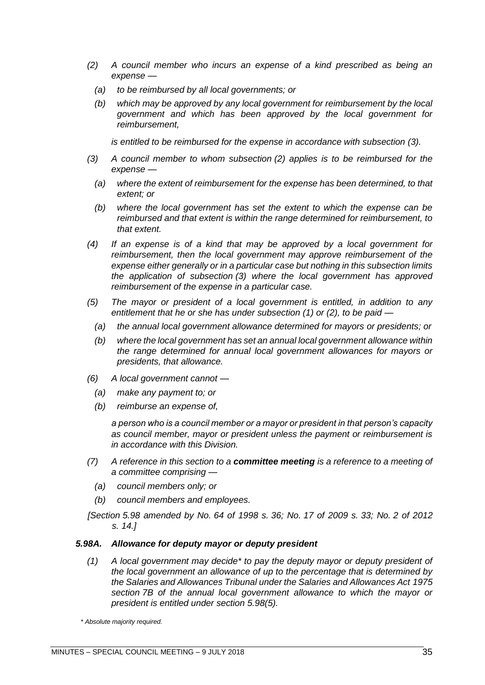- *(2) A council member who incurs an expense of a kind prescribed as being an expense —*
	- *(a) to be reimbursed by all local governments; or*
	- *(b) which may be approved by any local government for reimbursement by the local government and which has been approved by the local government for reimbursement,*

*is entitled to be reimbursed for the expense in accordance with subsection (3).*

- *(3) A council member to whom subsection (2) applies is to be reimbursed for the expense —*
	- *(a) where the extent of reimbursement for the expense has been determined, to that extent; or*
	- *(b) where the local government has set the extent to which the expense can be reimbursed and that extent is within the range determined for reimbursement, to that extent.*
- *(4) If an expense is of a kind that may be approved by a local government for reimbursement, then the local government may approve reimbursement of the expense either generally or in a particular case but nothing in this subsection limits the application of subsection (3) where the local government has approved reimbursement of the expense in a particular case.*
- *(5) The mayor or president of a local government is entitled, in addition to any entitlement that he or she has under subsection (1) or (2), to be paid —*
	- *(a) the annual local government allowance determined for mayors or presidents; or*
	- *(b) where the local government has set an annual local government allowance within the range determined for annual local government allowances for mayors or presidents, that allowance.*
- *(6) A local government cannot —*
	- *(a) make any payment to; or*
	- *(b) reimburse an expense of,*

*a person who is a council member or a mayor or president in that person's capacity as council member, mayor or president unless the payment or reimbursement is in accordance with this Division.*

- *(7) A reference in this section to a committee meeting is a reference to a meeting of a committee comprising —*
	- *(a) council members only; or*
	- *(b) council members and employees.*
- *[Section 5.98 amended by No. 64 of 1998 s. 36; No. 17 of 2009 s. 33; No. 2 of 2012 s. 14.]*

#### *5.98A. Allowance for deputy mayor or deputy president*

*(1) A local government may decide\* to pay the deputy mayor or deputy president of the local government an allowance of up to the percentage that is determined by the Salaries and Allowances Tribunal under the Salaries and Allowances Act 1975 section 7B of the annual local government allowance to which the mayor or president is entitled under section 5.98(5).*

*\* Absolute majority required.*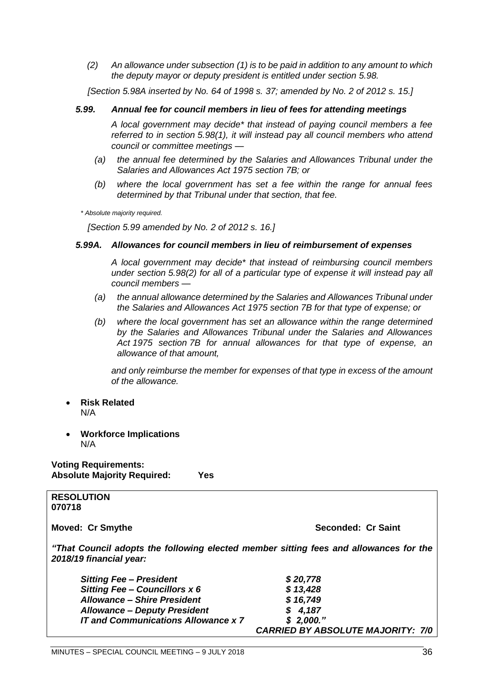*(2) An allowance under subsection (1) is to be paid in addition to any amount to which the deputy mayor or deputy president is entitled under section 5.98.*

*[Section 5.98A inserted by No. 64 of 1998 s. 37; amended by No. 2 of 2012 s. 15.]*

#### *5.99. Annual fee for council members in lieu of fees for attending meetings*

*A local government may decide\* that instead of paying council members a fee referred to in section 5.98(1), it will instead pay all council members who attend council or committee meetings —*

- *(a) the annual fee determined by the Salaries and Allowances Tribunal under the Salaries and Allowances Act 1975 section 7B; or*
- *(b) where the local government has set a fee within the range for annual fees determined by that Tribunal under that section, that fee.*

*\* Absolute majority required.*

*[Section 5.99 amended by No. 2 of 2012 s. 16.]*

#### *5.99A. Allowances for council members in lieu of reimbursement of expenses*

*A local government may decide\* that instead of reimbursing council members under section 5.98(2) for all of a particular type of expense it will instead pay all council members —*

- *(a) the annual allowance determined by the Salaries and Allowances Tribunal under the Salaries and Allowances Act 1975 section 7B for that type of expense; or*
- *(b) where the local government has set an allowance within the range determined by the Salaries and Allowances Tribunal under the Salaries and Allowances Act 1975 section 7B for annual allowances for that type of expense, an allowance of that amount,*

*and only reimburse the member for expenses of that type in excess of the amount of the allowance.*

- **Risk Related** N/A
- **Workforce Implications** N/A

**Voting Requirements: Absolute Majority Required: Yes**

**RESOLUTION 070718**

**Moved: Cr Smythe Seconded: Cr Saint** 

*"That Council adopts the following elected member sitting fees and allowances for the 2018/19 financial year:*

| <b>Sitting Fee - President</b>             | \$20,778                                 |
|--------------------------------------------|------------------------------------------|
| Sitting Fee - Councillors x 6              | \$13,428                                 |
| <b>Allowance - Shire President</b>         | \$16,749                                 |
| <b>Allowance - Deputy President</b>        | \$4,187                                  |
| <b>IT and Communications Allowance x 7</b> | \$2,000."                                |
|                                            | <b>CARRIED BY ABSOLUTE MAJORITY: 7/0</b> |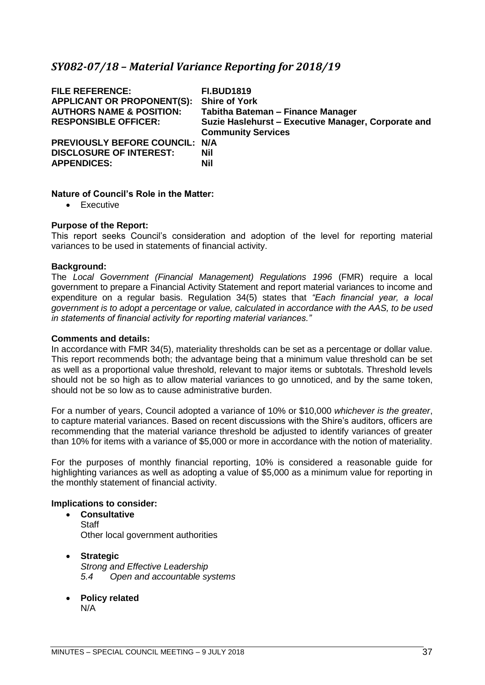# <span id="page-36-0"></span>*SY082-07/18 – Material Variance Reporting for 2018/19*

| <b>FILE REFERENCE:</b><br><b>APPLICANT OR PROPONENT(S):</b><br><b>AUTHORS NAME &amp; POSITION:</b><br><b>RESPONSIBLE OFFICER:</b> | <b>FI.BUD1819</b><br><b>Shire of York</b><br>Tabitha Bateman - Finance Manager<br>Suzie Haslehurst - Executive Manager, Corporate and<br><b>Community Services</b> |
|-----------------------------------------------------------------------------------------------------------------------------------|--------------------------------------------------------------------------------------------------------------------------------------------------------------------|
| PREVIOUSLY BEFORE COUNCIL: N/A<br><b>DISCLOSURE OF INTEREST:</b><br><b>APPENDICES:</b>                                            | <b>Nil</b><br><b>Nil</b>                                                                                                                                           |

#### **Nature of Council's Role in the Matter:**

• Executive

#### **Purpose of the Report:**

This report seeks Council's consideration and adoption of the level for reporting material variances to be used in statements of financial activity.

#### **Background:**

The *Local Government (Financial Management) Regulations 1996* (FMR) require a local government to prepare a Financial Activity Statement and report material variances to income and expenditure on a regular basis. Regulation 34(5) states that *"Each financial year, a local government is to adopt a percentage or value, calculated in accordance with the AAS, to be used in statements of financial activity for reporting material variances."*

#### **Comments and details:**

In accordance with FMR 34(5), materiality thresholds can be set as a percentage or dollar value. This report recommends both; the advantage being that a minimum value threshold can be set as well as a proportional value threshold, relevant to major items or subtotals. Threshold levels should not be so high as to allow material variances to go unnoticed, and by the same token, should not be so low as to cause administrative burden.

For a number of years, Council adopted a variance of 10% or \$10,000 *whichever is the greater*, to capture material variances. Based on recent discussions with the Shire's auditors, officers are recommending that the material variance threshold be adjusted to identify variances of greater than 10% for items with a variance of \$5,000 or more in accordance with the notion of materiality.

For the purposes of monthly financial reporting, 10% is considered a reasonable guide for highlighting variances as well as adopting a value of \$5,000 as a minimum value for reporting in the monthly statement of financial activity.

# **Implications to consider:**

- **Consultative Staff** Other local government authorities
- **Strategic** *Strong and Effective Leadership 5.4 Open and accountable systems*
- **Policy related** N/A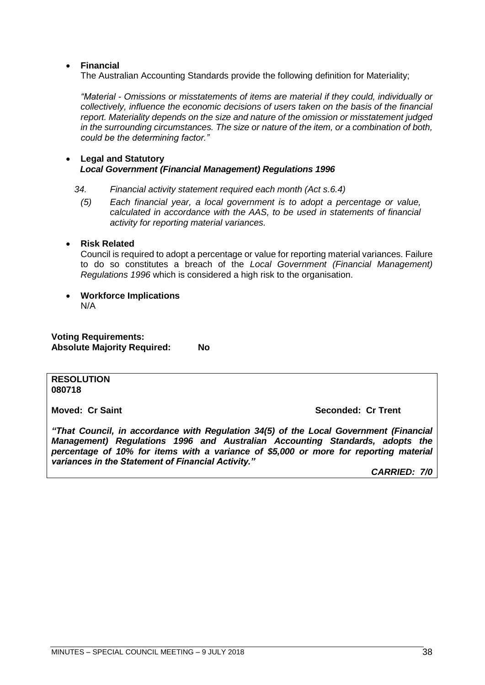## • **Financial**

The Australian Accounting Standards provide the following definition for Materiality;

*"Material - Omissions or misstatements of items are material if they could, individually or collectively, influence the economic decisions of users taken on the basis of the financial report. Materiality depends on the size and nature of the omission or misstatement judged in the surrounding circumstances. The size or nature of the item, or a combination of both, could be the determining factor."*

#### • **Legal and Statutory** *Local Government (Financial Management) Regulations 1996*

- *34. Financial activity statement required each month (Act s.6.4)*
	- *(5) Each financial year, a local government is to adopt a percentage or value, calculated in accordance with the AAS, to be used in statements of financial activity for reporting material variances.*

## • **Risk Related**

Council is required to adopt a percentage or value for reporting material variances. Failure to do so constitutes a breach of the *Local Government (Financial Management) Regulations 1996* which is considered a high risk to the organisation.

• **Workforce Implications** N/A

**Voting Requirements: Absolute Majority Required: No**

#### **RESOLUTION 080718**

#### **Moved: Cr Saint Seconded: Cr Trent**

*"That Council, in accordance with Regulation 34(5) of the Local Government (Financial Management) Regulations 1996 and Australian Accounting Standards, adopts the percentage of 10% for items with a variance of \$5,000 or more for reporting material variances in the Statement of Financial Activity."*

*CARRIED: 7/0*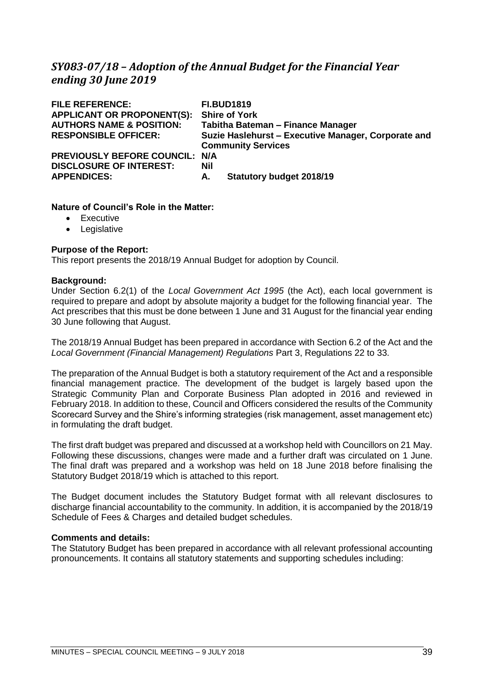# <span id="page-38-0"></span>*SY083-07/18 – Adoption of the Annual Budget for the Financial Year ending 30 June 2019*

| <b>FILE REFERENCE:</b><br><b>APPLICANT OR PROPONENT(S):</b><br><b>AUTHORS NAME &amp; POSITION:</b><br><b>RESPONSIBLE OFFICER:</b> | <b>FI.BUD1819</b><br><b>Shire of York</b><br>Tabitha Bateman - Finance Manager<br>Suzie Haslehurst - Executive Manager, Corporate and<br><b>Community Services</b> |
|-----------------------------------------------------------------------------------------------------------------------------------|--------------------------------------------------------------------------------------------------------------------------------------------------------------------|
| PREVIOUSLY BEFORE COUNCIL: N/A                                                                                                    | <b>Nil</b>                                                                                                                                                         |
| <b>DISCLOSURE OF INTEREST:</b>                                                                                                    | <b>Statutory budget 2018/19</b>                                                                                                                                    |
| <b>APPENDICES:</b>                                                                                                                | А.                                                                                                                                                                 |

## **Nature of Council's Role in the Matter:**

- Executive
- Legislative

# **Purpose of the Report:**

This report presents the 2018/19 Annual Budget for adoption by Council.

## **Background:**

Under Section 6.2(1) of the *Local Government Act 1995* (the Act), each local government is required to prepare and adopt by absolute majority a budget for the following financial year. The Act prescribes that this must be done between 1 June and 31 August for the financial year ending 30 June following that August.

The 2018/19 Annual Budget has been prepared in accordance with Section 6.2 of the Act and the *Local Government (Financial Management) Regulations* Part 3, Regulations 22 to 33.

The preparation of the Annual Budget is both a statutory requirement of the Act and a responsible financial management practice. The development of the budget is largely based upon the Strategic Community Plan and Corporate Business Plan adopted in 2016 and reviewed in February 2018. In addition to these, Council and Officers considered the results of the Community Scorecard Survey and the Shire's informing strategies (risk management, asset management etc) in formulating the draft budget.

The first draft budget was prepared and discussed at a workshop held with Councillors on 21 May. Following these discussions, changes were made and a further draft was circulated on 1 June. The final draft was prepared and a workshop was held on 18 June 2018 before finalising the Statutory Budget 2018/19 which is attached to this report.

The Budget document includes the Statutory Budget format with all relevant disclosures to discharge financial accountability to the community. In addition, it is accompanied by the 2018/19 Schedule of Fees & Charges and detailed budget schedules.

## **Comments and details:**

The Statutory Budget has been prepared in accordance with all relevant professional accounting pronouncements. It contains all statutory statements and supporting schedules including: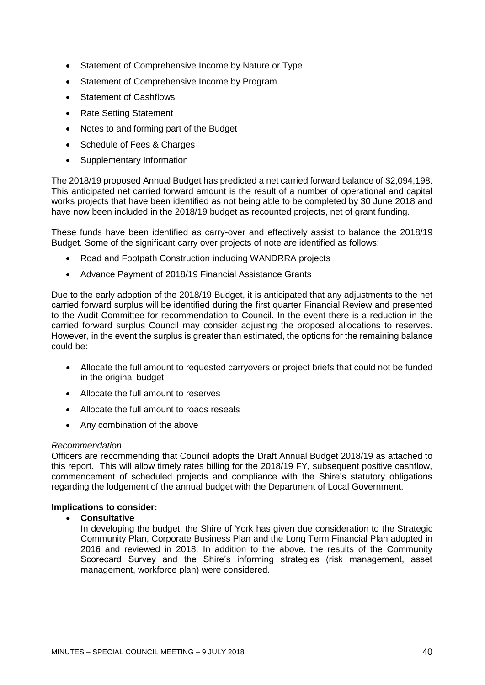- Statement of Comprehensive Income by Nature or Type
- Statement of Comprehensive Income by Program
- **Statement of Cashflows**
- Rate Setting Statement
- Notes to and forming part of the Budget
- Schedule of Fees & Charges
- Supplementary Information

The 2018/19 proposed Annual Budget has predicted a net carried forward balance of \$2,094,198. This anticipated net carried forward amount is the result of a number of operational and capital works projects that have been identified as not being able to be completed by 30 June 2018 and have now been included in the 2018/19 budget as recounted projects, net of grant funding.

These funds have been identified as carry-over and effectively assist to balance the 2018/19 Budget. Some of the significant carry over projects of note are identified as follows;

- Road and Footpath Construction including WANDRRA projects
- Advance Payment of 2018/19 Financial Assistance Grants

Due to the early adoption of the 2018/19 Budget, it is anticipated that any adjustments to the net carried forward surplus will be identified during the first quarter Financial Review and presented to the Audit Committee for recommendation to Council. In the event there is a reduction in the carried forward surplus Council may consider adjusting the proposed allocations to reserves. However, in the event the surplus is greater than estimated, the options for the remaining balance could be:

- Allocate the full amount to requested carryovers or project briefs that could not be funded in the original budget
- Allocate the full amount to reserves
- Allocate the full amount to roads reseals
- Any combination of the above

## *Recommendation*

Officers are recommending that Council adopts the Draft Annual Budget 2018/19 as attached to this report. This will allow timely rates billing for the 2018/19 FY, subsequent positive cashflow, commencement of scheduled projects and compliance with the Shire's statutory obligations regarding the lodgement of the annual budget with the Department of Local Government.

## **Implications to consider:**

## • **Consultative**

In developing the budget, the Shire of York has given due consideration to the Strategic Community Plan, Corporate Business Plan and the Long Term Financial Plan adopted in 2016 and reviewed in 2018. In addition to the above, the results of the Community Scorecard Survey and the Shire's informing strategies (risk management, asset management, workforce plan) were considered.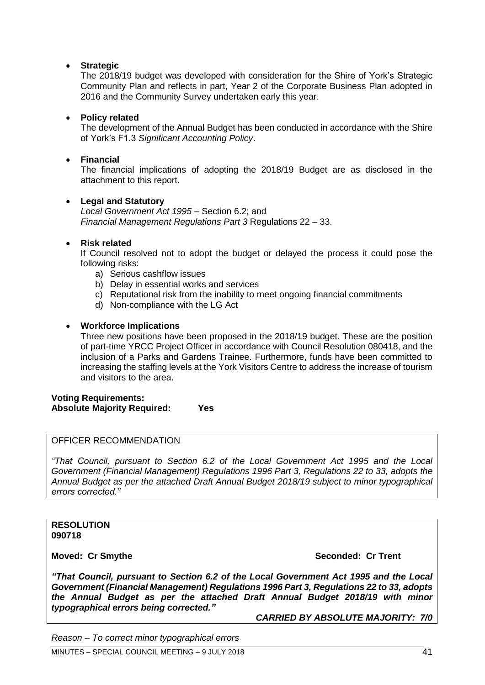## • **Strategic**

The 2018/19 budget was developed with consideration for the Shire of York's Strategic Community Plan and reflects in part, Year 2 of the Corporate Business Plan adopted in 2016 and the Community Survey undertaken early this year.

## • **Policy related**

The development of the Annual Budget has been conducted in accordance with the Shire of York's F1.3 *Significant Accounting Policy*.

## • **Financial**

The financial implications of adopting the 2018/19 Budget are as disclosed in the attachment to this report.

## • **Legal and Statutory**

*Local Government Act 1995* – Section 6.2; and *Financial Management Regulations Part 3* Regulations 22 – 33.

## • **Risk related**

If Council resolved not to adopt the budget or delayed the process it could pose the following risks:

- a) Serious cashflow issues
- b) Delay in essential works and services
- c) Reputational risk from the inability to meet ongoing financial commitments
- d) Non-compliance with the LG Act

## • **Workforce Implications**

Three new positions have been proposed in the 2018/19 budget. These are the position of part-time YRCC Project Officer in accordance with Council Resolution 080418, and the inclusion of a Parks and Gardens Trainee. Furthermore, funds have been committed to increasing the staffing levels at the York Visitors Centre to address the increase of tourism and visitors to the area.

#### **Voting Requirements: Absolute Majority Required: Yes**

#### OFFICER RECOMMENDATION

*"That Council, pursuant to Section 6.2 of the Local Government Act 1995 and the Local Government (Financial Management) Regulations 1996 Part 3, Regulations 22 to 33, adopts the Annual Budget as per the attached Draft Annual Budget 2018/19 subject to minor typographical errors corrected."*

#### **RESOLUTION 090718**

## **Moved: Cr Smythe Seconded: Cr Trent**

*"That Council, pursuant to Section 6.2 of the Local Government Act 1995 and the Local Government (Financial Management) Regulations 1996 Part 3, Regulations 22 to 33, adopts the Annual Budget as per the attached Draft Annual Budget 2018/19 with minor typographical errors being corrected."*

*CARRIED BY ABSOLUTE MAJORITY: 7/0*

*Reason – To correct minor typographical errors*